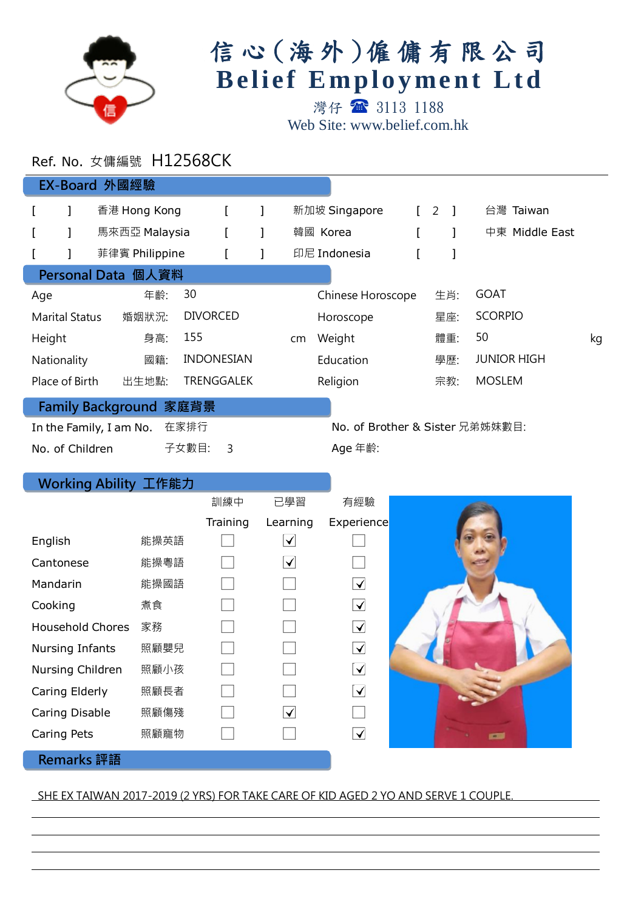

## 信心 (海外)僱傭有限公司 **Belief Employment Ltd**

灣仔 3113 1188 Web Site: www.belief.com.hk

## Ref. No. 女傭編號 H12568CK

| EX-Board 外國經驗                                                      |                       |  |                |                   |                   |    |        |                   |     |                |                    |  |
|--------------------------------------------------------------------|-----------------------|--|----------------|-------------------|-------------------|----|--------|-------------------|-----|----------------|--------------------|--|
|                                                                    |                       |  | 香港 Hong Kong   |                   |                   |    |        | 新加坡 Singapore     |     | $\overline{2}$ | 台灣 Taiwan          |  |
|                                                                    |                       |  | 馬來西亞 Malaysia  |                   |                   |    |        | 韓國 Korea          |     |                | 中東 Middle East     |  |
|                                                                    |                       |  | 菲律賓 Philippine |                   |                   |    |        | 印尼 Indonesia      |     |                |                    |  |
| Personal Data 個人資料                                                 |                       |  |                |                   |                   |    |        |                   |     |                |                    |  |
| Age                                                                |                       |  | 年齡:            | 30                |                   |    |        | Chinese Horoscope |     | 生肖:            | <b>GOAT</b>        |  |
|                                                                    | <b>Marital Status</b> |  | 婚姻狀況:          | <b>DIVORCED</b>   |                   |    |        | Horoscope         |     | 星座:            | <b>SCORPIO</b>     |  |
| Height                                                             |                       |  | 身高:            | 155               |                   | cm | Weight |                   | 體重: | 50             | kg                 |  |
| Nationality                                                        |                       |  | 國籍:            | <b>INDONESIAN</b> |                   |    |        | Education         |     | 學歷:            | <b>JUNIOR HIGH</b> |  |
|                                                                    | Place of Birth        |  | 出生地點:          |                   | <b>TRENGGALEK</b> |    |        | Religion          |     | 宗教:            | <b>MOSLEM</b>      |  |
| Family Background 家庭背景                                             |                       |  |                |                   |                   |    |        |                   |     |                |                    |  |
| 在家排行<br>No. of Brother & Sister 兄弟姊妹數目:<br>In the Family, I am No. |                       |  |                |                   |                   |    |        |                   |     |                |                    |  |
| No. of Children                                                    |                       |  |                | 子女數目:             | 3                 |    |        | Age 年齡:           |     |                |                    |  |

## Working Ability 工作能力

l

l

|                         |      | 訓練中      | 已學習                               | 有經驗                               |              |
|-------------------------|------|----------|-----------------------------------|-----------------------------------|--------------|
|                         |      | Training | Learning                          | Experience                        |              |
| English                 | 能操英語 |          | ✓                                 |                                   |              |
| Cantonese               | 能操粵語 |          | $ \blacktriangledown $            |                                   |              |
| Mandarin                | 能操國語 |          |                                   | $\blacktriangledown$              |              |
| Cooking                 | 煮食   |          |                                   | $\blacktriangleright$             |              |
| <b>Household Chores</b> | 家務   |          |                                   | $\blacktriangleright$             |              |
| Nursing Infants         | 照顧嬰兒 |          |                                   | $\blacktriangledown$              |              |
| Nursing Children        | 照顧小孩 |          |                                   | $\left[\blacktriangledown\right]$ |              |
| Caring Elderly          | 照顧長者 |          |                                   | $\blacktriangledown$              |              |
| Caring Disable          | 照顧傷殘 |          | $\left \blacktriangledown\right $ |                                   |              |
| Caring Pets             | 照顧寵物 |          |                                   | $\blacktriangledown$              | $\mathbf{r}$ |
| <b>Remarks</b> 評語       |      |          |                                   |                                   |              |

## SHE EX TAIWAN 2017-2019 (2 YRS) FOR TAKE CARE OF KID AGED 2 YO AND SERVE 1 COUPLE.